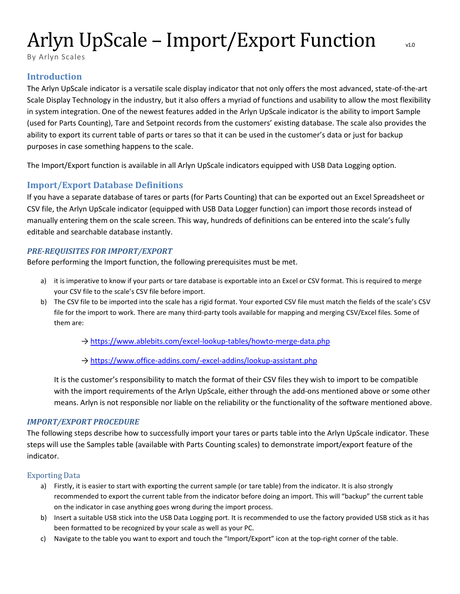# Arlyn UpScale – Import/Export Function v10

By Arlyn Scales

# **Introduction**

The Arlyn UpScale indicator is a versatile scale display indicator that not only offers the most advanced, state-of-the-art Scale Display Technology in the industry, but it also offers a myriad of functions and usability to allow the most flexibility in system integration. One of the newest features added in the Arlyn UpScale indicator is the ability to import Sample (used for Parts Counting), Tare and Setpoint records from the customers' existing database. The scale also provides the ability to export its current table of parts or tares so that it can be used in the customer's data or just for backup purposes in case something happens to the scale.

The Import/Export function is available in all Arlyn UpScale indicators equipped with USB Data Logging option.

# **Import/Export Database Definitions**

If you have a separate database of tares or parts (for Parts Counting) that can be exported out an Excel Spreadsheet or CSV file, the Arlyn UpScale indicator (equipped with USB Data Logger function) can import those records instead of manually entering them on the scale screen. This way, hundreds of definitions can be entered into the scale's fully editable and searchable database instantly.

## <span id="page-0-0"></span>*PRE-REQUISITES FOR IMPORT/EXPORT*

Before performing the Import function, the following prerequisites must be met.

- a) it is imperative to know if your parts or tare database is exportable into an Excel or CSV format. This is required to merge your CSV file to the scale's CSV file before import.
- b) The CSV file to be imported into the scale has a rigid format. Your exported CSV file must match the fields of the scale's CSV file for the import to work. There are many third-party tools available for mapping and merging CSV/Excel files. Some of them are:
	- → <https://www.ablebits.com/excel-lookup-tables/howto-merge-data.php>
	- → <https://www.office-addins.com/-excel-addins/lookup-assistant.php>

It is the customer's responsibility to match the format of their CSV files they wish to import to be compatible with the import requirements of the Arlyn UpScale, either through the add-ons mentioned above or some other means. Arlyn is not responsible nor liable on the reliability or the functionality of the software mentioned above.

## *IMPORT/EXPORT PROCEDURE*

The following steps describe how to successfully import your tares or parts table into the Arlyn UpScale indicator. These steps will use the Samples table (available with Parts Counting scales) to demonstrate import/export feature of the indicator.

#### Exporting Data

- a) Firstly, it is easier to start with exporting the current sample (or tare table) from the indicator. It is also strongly recommended to export the current table from the indicator before doing an import. This will "backup" the current table on the indicator in case anything goes wrong during the import process.
- b) Insert a suitable USB stick into the USB Data Logging port. It is recommended to use the factory provided USB stick as it has been formatted to be recognized by your scale as well as your PC.
- c) Navigate to the table you want to export and touch the "Import/Export" icon at the top-right corner of the table.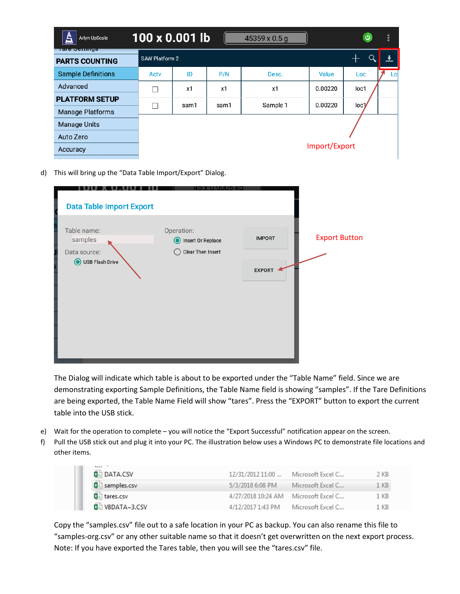| ₹<br>Arlyn UpScale<br><u> । तारु अनामामुक्त</u> | 100 x 0.001 lb        |      |      | 45359 x 0.5 g |               | $\mathbf{\Theta}$ | ă, |
|-------------------------------------------------|-----------------------|------|------|---------------|---------------|-------------------|----|
| <b>PARTS COUNTING</b>                           | <b>SAW Platform 2</b> |      |      |               |               |                   |    |
| <b>Sample Definitions</b>                       | Acty                  | ID   | P/N  | Desc.         | Value         | <b>Loc</b>        | Lo |
| Advanced                                        |                       | x1   | x1   | x1            | 0.00220       | loc1              |    |
| <b>PLATFORM SETUP</b>                           | П                     | sam1 | sam1 | Sample 1      | 0.00220       | loc <sub>1</sub>  |    |
| <b>Manage Platforms</b>                         |                       |      |      |               |               |                   |    |
| <b>Manage Units</b>                             |                       |      |      |               |               |                   |    |
| Auto Zero                                       |                       |      |      |               |               |                   |    |
| Accuracy                                        |                       |      |      |               | Import/Export |                   |    |

d) This will bring up the "Data Table Import/Export" Dialog.

| <b>Data Table Import Export</b>        |                                                                 |               |                      |
|----------------------------------------|-----------------------------------------------------------------|---------------|----------------------|
| Table name:<br>samples<br>Data source: | Operation:<br>Insert Or Replace<br>$\odot$<br>Clear Then Insert | <b>IMPORT</b> | <b>Export Button</b> |
| USB Flash Drive<br>⋒                   |                                                                 | <b>EXPORT</b> |                      |

The Dialog will indicate which table is about to be exported under the "Table Name" field. Since we are demonstrating exporting Sample Definitions, the Table Name field is showing "samples". If the Tare Definitions are being exported, the Table Name Field will show "tares". Press the "EXPORT" button to export the current table into the USB stick.

- e) Wait for the operation to complete you will notice the "Export Successful" notification appear on the screen.
- f) Pull the USB stick out and plug it into your PC. The illustration below uses a Windows PC to demonstrate file locations and other items.

| <b>DATA.CSV</b>       | 12/31/2012 11:00  Microsoft Excel C  | 2 KB |
|-----------------------|--------------------------------------|------|
| <b>Ra</b> samples.csv | 5/3/2018 6:08 PM Microsoft Excel C   | 1 KB |
| <b>Dal tares.csv</b>  | 4/27/2018 10:24 AM Microsoft Excel C | 1 KB |
| ⊠ v8DATA~3.CSV        | 4/12/2017 1:43 PM Microsoft Excel C  | 1 KB |

Copy the "samples.csv" file out to a safe location in your PC as backup. You can also rename this file to "samples-org.csv" or any other suitable name so that it doesn't get overwritten on the next export process. Note: If you have exported the Tares table, then you will see the "tares.csv" file.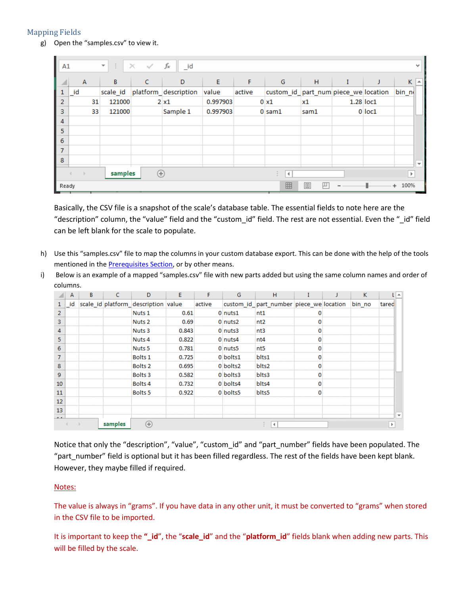## Mapping Fields

g) Open the "samples.csv" to view it.

| A1 |                                                                          | ÷<br>$\overline{\mathbf{v}}$ | $\times$<br>$\checkmark$ | $f_x$<br>$\_id$      |          |        |                                      |      |  |           |          | v                        |
|----|--------------------------------------------------------------------------|------------------------------|--------------------------|----------------------|----------|--------|--------------------------------------|------|--|-----------|----------|--------------------------|
| ◢  | $\mathsf{A}$                                                             | B                            | C                        | D                    | E        | F      | G                                    | H    |  |           | κ        | ∣∽∣                      |
|    | $\_id$                                                                   | scale_id                     |                          | platform_description | value    | active | custom_id_part_num piece_we location |      |  |           | $bin\_n$ |                          |
| 2  | 31                                                                       | 121000                       |                          | $2 \times 1$         | 0.997903 |        | $0 \times 1$                         | x1   |  | 1.28 loc1 |          |                          |
| 3  | 33                                                                       | 121000                       |                          | Sample 1             | 0.997903 |        | $0 \text{ sam1}$                     | sam1 |  | 0 loc1    |          |                          |
| 4  |                                                                          |                              |                          |                      |          |        |                                      |      |  |           |          |                          |
| 5  |                                                                          |                              |                          |                      |          |        |                                      |      |  |           |          |                          |
| 6  |                                                                          |                              |                          |                      |          |        |                                      |      |  |           |          |                          |
| 7  |                                                                          |                              |                          |                      |          |        |                                      |      |  |           |          |                          |
| 8  |                                                                          |                              |                          |                      |          |        |                                      |      |  |           |          | $\overline{\phantom{a}}$ |
|    | samples<br>$(+)$<br>$\rightarrow$<br>$\blacktriangleleft$<br>Þ<br>$\sim$ |                              |                          |                      |          |        |                                      |      |  |           |          |                          |
|    | 囲<br>凹<br>回<br>100%<br>Ready                                             |                              |                          |                      |          |        |                                      |      |  |           |          |                          |

Basically, the CSV file is a snapshot of the scale's database table. The essential fields to note here are the "description" column, the "value" field and the "custom\_id" field. The rest are not essential. Even the "\_id" field can be left blank for the scale to populate.

- h) Use this "samples.csv" file to map the columns in your custom database export. This can be done with the help of the tools mentioned in the **Prerequisites Section**, or by other means.
- i) Below is an example of a mapped "samples.csv" file with new parts added but using the same column names and order of columns.

|                | $\mathsf{A}$ | B | C       | D                                   | E     | F      | G        | H                                       |  | K.     |       | A                        |
|----------------|--------------|---|---------|-------------------------------------|-------|--------|----------|-----------------------------------------|--|--------|-------|--------------------------|
| $\mathbf{1}$   | id           |   |         | scale_id platform_description value |       | active |          | custom id part number piece we location |  | bin no | tared |                          |
| $\overline{2}$ |              |   |         | Nuts <sub>1</sub>                   | 0.61  |        | 0 nuts1  | nt1                                     |  |        |       |                          |
| 3              |              |   |         | Nuts <sub>2</sub>                   | 0.69  |        | 0 nuts2  | nt2                                     |  |        |       |                          |
| 4              |              |   |         | Nuts <sub>3</sub>                   | 0.843 |        | 0 nuts3  | nt3                                     |  |        |       |                          |
| 5              |              |   |         | Nuts 4                              | 0.822 |        | 0 nuts4  | nt4                                     |  |        |       |                          |
| 6              |              |   |         | Nuts 5                              | 0.781 |        | 0 nuts5  | nt5                                     |  |        |       |                          |
| $\overline{7}$ |              |   |         | Bolts <sub>1</sub>                  | 0.725 |        | 0 bolts1 | blts1                                   |  |        |       |                          |
| 8              |              |   |         | Bolts <sub>2</sub>                  | 0.695 |        | 0 bolts2 | blts2                                   |  |        |       |                          |
| $\overline{9}$ |              |   |         | Bolts <sub>3</sub>                  | 0.582 |        | 0 bolts3 | blts3                                   |  |        |       |                          |
| 10             |              |   |         | Bolts 4                             | 0.732 |        | 0 bolts4 | blts4                                   |  |        |       |                          |
| 11             |              |   |         | Bolts <sub>5</sub>                  | 0.922 |        | 0 bolts5 | blts5                                   |  |        |       |                          |
| 12             |              |   |         |                                     |       |        |          |                                         |  |        |       |                          |
| 13             |              |   |         |                                     |       |        |          |                                         |  |        |       |                          |
| $\overline{a}$ |              |   |         |                                     |       |        |          |                                         |  |        |       | $\overline{\phantom{a}}$ |
|                |              |   | samples | $^{\rm (+)}$                        |       |        |          | $\blacktriangleleft$                    |  |        |       |                          |

Notice that only the "description", "value", "custom\_id" and "part\_number" fields have been populated. The "part\_number" field is optional but it has been filled regardless. The rest of the fields have been kept blank. However, they maybe filled if required.

#### Notes:

The value is always in "grams". If you have data in any other unit, it must be converted to "grams" when stored in the CSV file to be imported.

It is important to keep the **"\_id**", the "**scale\_id**" and the "**platform\_id**" fields blank when adding new parts. This will be filled by the scale.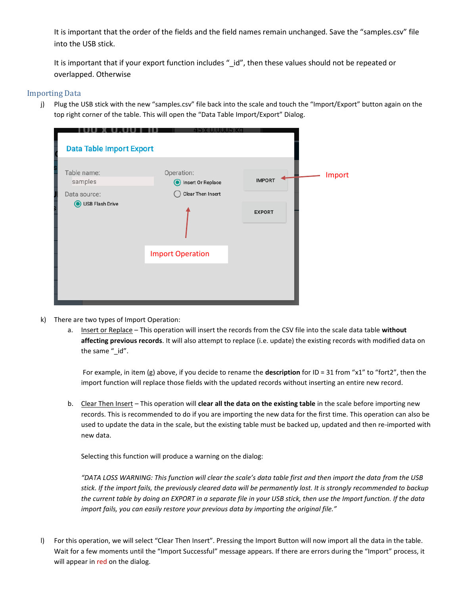It is important that the order of the fields and the field names remain unchanged. Save the "samples.csv" file into the USB stick.

It is important that if your export function includes "\_id", then these values should not be repeated or overlapped. Otherwise

#### Importing Data

j) Plug the USB stick with the new "samples.csv" file back into the scale and touch the "Import/Export" button again on the top right corner of the table. This will open the "Data Table Import/Export" Dialog.

| <b>Data Table Import Export</b> |                                            |               |        |
|---------------------------------|--------------------------------------------|---------------|--------|
| Table name:<br>samples          | Operation:<br>Insert Or Replace<br>$\odot$ | <b>IMPORT</b> | Import |
| Data source:                    | Clear Then Insert                          |               |        |
| USB Flash Drive                 |                                            | <b>EXPORT</b> |        |
|                                 | <b>Import Operation</b>                    |               |        |
|                                 |                                            |               |        |

- k) There are two types of Import Operation:
	- a. Insert or Replace This operation will insert the records from the CSV file into the scale data table **without affecting previous records**. It will also attempt to replace (i.e. update) the existing records with modified data on the same "\_id".

For example, in item (g) above, if you decide to rename the **description** for ID = 31 from "x1" to "fort2", then the import function will replace those fields with the updated records without inserting an entire new record.

b. Clear Then Insert – This operation will **clear all the data on the existing table** in the scale before importing new records. This is recommended to do if you are importing the new data for the first time. This operation can also be used to update the data in the scale, but the existing table must be backed up, updated and then re-imported with new data.

Selecting this function will produce a warning on the dialog:

*"DATA LOSS WARNING: This function will clear the scale's data table first and then import the data from the USB stick. If the import fails, the previously cleared data will be permanently lost. It is strongly recommended to backup the current table by doing an EXPORT in a separate file in your USB stick, then use the Import function. If the data import fails, you can easily restore your previous data by importing the original file."*

l) For this operation, we will select "Clear Then Insert". Pressing the Import Button will now import all the data in the table. Wait for a few moments until the "Import Successful" message appears. If there are errors during the "Import" process, it will appear in red on the dialog.